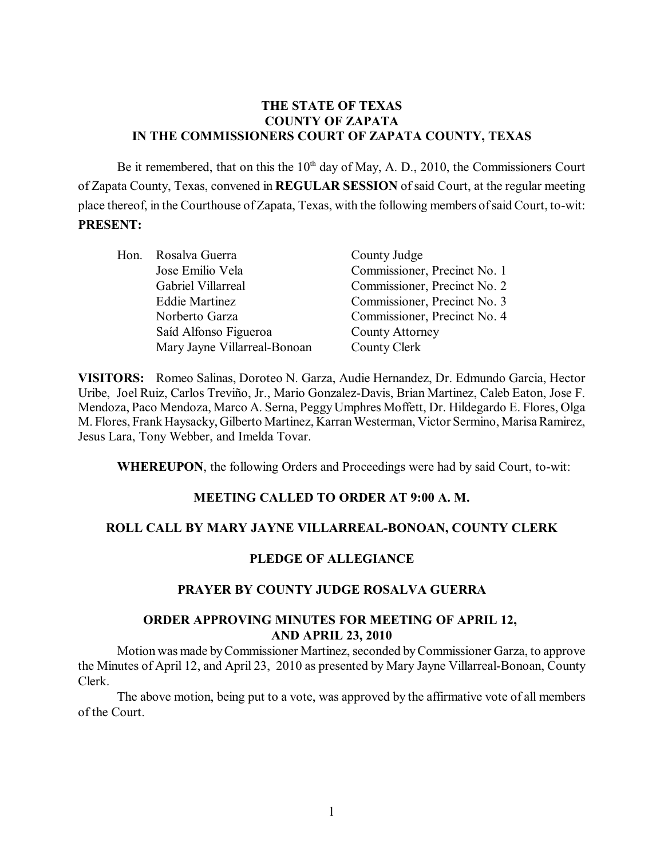### **THE STATE OF TEXAS COUNTY OF ZAPATA IN THE COMMISSIONERS COURT OF ZAPATA COUNTY, TEXAS**

Be it remembered, that on this the  $10<sup>th</sup>$  day of May, A. D., 2010, the Commissioners Court of Zapata County, Texas, convened in **REGULAR SESSION** of said Court, at the regular meeting place thereof, in the Courthouse of Zapata, Texas, with the following members of said Court, to-wit: **PRESENT:**

| Hon. Rosalva Guerra          | County Judge                 |
|------------------------------|------------------------------|
| Jose Emilio Vela             | Commissioner, Precinct No. 1 |
| Gabriel Villarreal           | Commissioner, Precinct No. 2 |
| <b>Eddie Martinez</b>        | Commissioner, Precinct No. 3 |
| Norberto Garza               | Commissioner, Precinct No. 4 |
| Saíd Alfonso Figueroa        | County Attorney              |
| Mary Jayne Villarreal-Bonoan | County Clerk                 |

**VISITORS:** Romeo Salinas, Doroteo N. Garza, Audie Hernandez, Dr. Edmundo Garcia, Hector Uribe, Joel Ruiz, Carlos Treviño, Jr., Mario Gonzalez-Davis, Brian Martinez, Caleb Eaton, Jose F. Mendoza, Paco Mendoza, Marco A. Serna, Peggy Umphres Moffett, Dr. Hildegardo E. Flores, Olga M. Flores, Frank Haysacky, Gilberto Martinez, Karran Westerman, Victor Sermino, Marisa Ramirez, Jesus Lara, Tony Webber, and Imelda Tovar.

**WHEREUPON**, the following Orders and Proceedings were had by said Court, to-wit:

# **MEETING CALLED TO ORDER AT 9:00 A. M.**

#### **ROLL CALL BY MARY JAYNE VILLARREAL-BONOAN, COUNTY CLERK**

#### **PLEDGE OF ALLEGIANCE**

#### **PRAYER BY COUNTY JUDGE ROSALVA GUERRA**

#### **ORDER APPROVING MINUTES FOR MEETING OF APRIL 12, AND APRIL 23, 2010**

Motion was made byCommissioner Martinez, seconded by Commissioner Garza, to approve the Minutes of April 12, and April 23, 2010 as presented by Mary Jayne Villarreal-Bonoan, County Clerk.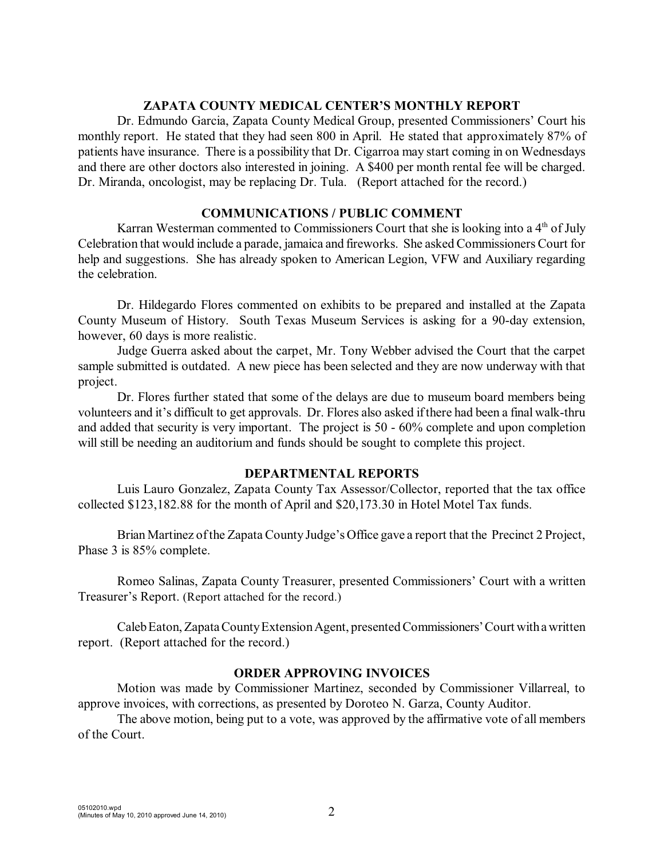### **ZAPATA COUNTY MEDICAL CENTER'S MONTHLY REPORT**

Dr. Edmundo Garcia, Zapata County Medical Group, presented Commissioners' Court his monthly report. He stated that they had seen 800 in April. He stated that approximately 87% of patients have insurance. There is a possibility that Dr. Cigarroa may start coming in on Wednesdays and there are other doctors also interested in joining. A \$400 per month rental fee will be charged. Dr. Miranda, oncologist, may be replacing Dr. Tula. (Report attached for the record.)

### **COMMUNICATIONS / PUBLIC COMMENT**

Karran Westerman commented to Commissioners Court that she is looking into a  $4<sup>th</sup>$  of July Celebration that would include a parade, jamaica and fireworks. She asked Commissioners Court for help and suggestions. She has already spoken to American Legion, VFW and Auxiliary regarding the celebration.

Dr. Hildegardo Flores commented on exhibits to be prepared and installed at the Zapata County Museum of History. South Texas Museum Services is asking for a 90-day extension, however, 60 days is more realistic.

Judge Guerra asked about the carpet, Mr. Tony Webber advised the Court that the carpet sample submitted is outdated. A new piece has been selected and they are now underway with that project.

Dr. Flores further stated that some of the delays are due to museum board members being volunteers and it's difficult to get approvals. Dr. Flores also asked ifthere had been a final walk-thru and added that security is very important. The project is 50 - 60% complete and upon completion will still be needing an auditorium and funds should be sought to complete this project.

# **DEPARTMENTAL REPORTS**

Luis Lauro Gonzalez, Zapata County Tax Assessor/Collector, reported that the tax office collected \$123,182.88 for the month of April and \$20,173.30 in Hotel Motel Tax funds.

Brian Martinez of the Zapata County Judge's Office gave a report that the Precinct 2 Project, Phase 3 is 85% complete.

Romeo Salinas, Zapata County Treasurer, presented Commissioners' Court with a written Treasurer's Report. (Report attached for the record.)

Caleb Eaton, Zapata County Extension Agent, presented Commissioners' Court with a written report. (Report attached for the record.)

# **ORDER APPROVING INVOICES**

Motion was made by Commissioner Martinez, seconded by Commissioner Villarreal, to approve invoices, with corrections, as presented by Doroteo N. Garza, County Auditor.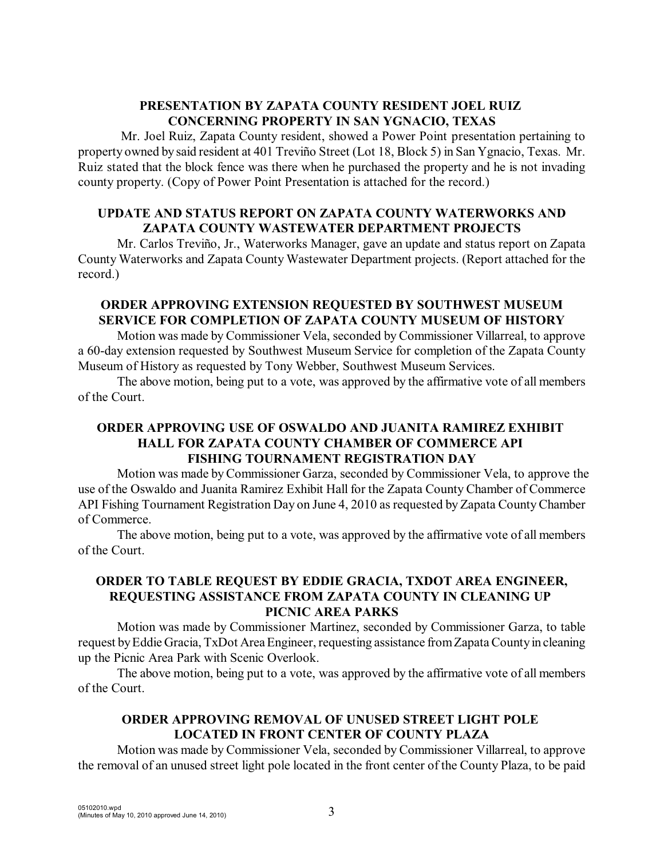## **PRESENTATION BY ZAPATA COUNTY RESIDENT JOEL RUIZ CONCERNING PROPERTY IN SAN YGNACIO, TEXAS**

 Mr. Joel Ruiz, Zapata County resident, showed a Power Point presentation pertaining to property owned by said resident at 401 Treviño Street (Lot 18, Block 5) in San Ygnacio, Texas. Mr. Ruiz stated that the block fence was there when he purchased the property and he is not invading county property. (Copy of Power Point Presentation is attached for the record.)

## **UPDATE AND STATUS REPORT ON ZAPATA COUNTY WATERWORKS AND ZAPATA COUNTY WASTEWATER DEPARTMENT PROJECTS**

Mr. Carlos Treviño, Jr., Waterworks Manager, gave an update and status report on Zapata County Waterworks and Zapata County Wastewater Department projects. (Report attached for the record.)

# **ORDER APPROVING EXTENSION REQUESTED BY SOUTHWEST MUSEUM SERVICE FOR COMPLETION OF ZAPATA COUNTY MUSEUM OF HISTORY**

Motion was made by Commissioner Vela, seconded by Commissioner Villarreal, to approve a 60-day extension requested by Southwest Museum Service for completion of the Zapata County Museum of History as requested by Tony Webber, Southwest Museum Services.

The above motion, being put to a vote, was approved by the affirmative vote of all members of the Court.

# **ORDER APPROVING USE OF OSWALDO AND JUANITA RAMIREZ EXHIBIT HALL FOR ZAPATA COUNTY CHAMBER OF COMMERCE API FISHING TOURNAMENT REGISTRATION DAY**

Motion was made byCommissioner Garza, seconded by Commissioner Vela, to approve the use of the Oswaldo and Juanita Ramirez Exhibit Hall for the Zapata County Chamber of Commerce API Fishing Tournament Registration Day on June 4, 2010 as requested by Zapata County Chamber of Commerce.

The above motion, being put to a vote, was approved by the affirmative vote of all members of the Court.

## **ORDER TO TABLE REQUEST BY EDDIE GRACIA, TXDOT AREA ENGINEER, REQUESTING ASSISTANCE FROM ZAPATA COUNTY IN CLEANING UP PICNIC AREA PARKS**

Motion was made by Commissioner Martinez, seconded by Commissioner Garza, to table request by Eddie Gracia, TxDot Area Engineer, requesting assistance from Zapata County in cleaning up the Picnic Area Park with Scenic Overlook.

The above motion, being put to a vote, was approved by the affirmative vote of all members of the Court.

# **ORDER APPROVING REMOVAL OF UNUSED STREET LIGHT POLE LOCATED IN FRONT CENTER OF COUNTY PLAZA**

Motion was made by Commissioner Vela, seconded by Commissioner Villarreal, to approve the removal of an unused street light pole located in the front center of the County Plaza, to be paid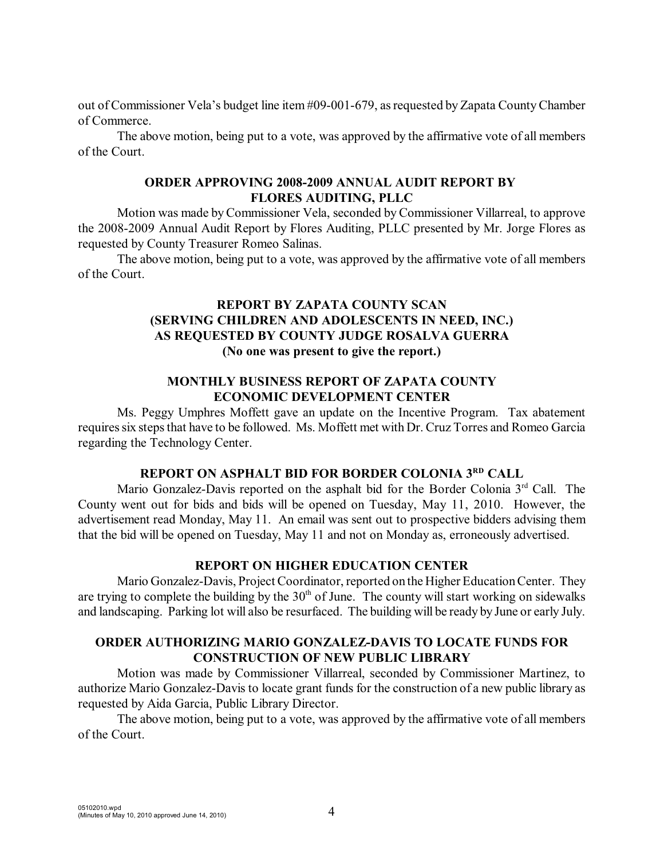out of Commissioner Vela's budget line item #09-001-679, asrequested by Zapata County Chamber of Commerce.

The above motion, being put to a vote, was approved by the affirmative vote of all members of the Court.

#### **ORDER APPROVING 2008-2009 ANNUAL AUDIT REPORT BY FLORES AUDITING, PLLC**

Motion was made byCommissioner Vela, seconded by Commissioner Villarreal, to approve the 2008-2009 Annual Audit Report by Flores Auditing, PLLC presented by Mr. Jorge Flores as requested by County Treasurer Romeo Salinas.

The above motion, being put to a vote, was approved by the affirmative vote of all members of the Court.

# **REPORT BY ZAPATA COUNTY SCAN (SERVING CHILDREN AND ADOLESCENTS IN NEED, INC.) AS REQUESTED BY COUNTY JUDGE ROSALVA GUERRA (No one was present to give the report.)**

### **MONTHLY BUSINESS REPORT OF ZAPATA COUNTY ECONOMIC DEVELOPMENT CENTER**

Ms. Peggy Umphres Moffett gave an update on the Incentive Program. Tax abatement requires six steps that have to be followed. Ms. Moffett met with Dr. Cruz Torres and Romeo Garcia regarding the Technology Center.

# **REPORT ON ASPHALT BID FOR BORDER COLONIA 3RD CALL**

Mario Gonzalez-Davis reported on the asphalt bid for the Border Colonia  $3<sup>rd</sup>$  Call. The County went out for bids and bids will be opened on Tuesday, May 11, 2010. However, the advertisement read Monday, May 11. An email was sent out to prospective bidders advising them that the bid will be opened on Tuesday, May 11 and not on Monday as, erroneously advertised.

# **REPORT ON HIGHER EDUCATION CENTER**

Mario Gonzalez-Davis, Project Coordinator, reported on the Higher Education Center. They are trying to complete the building by the  $30<sup>th</sup>$  of June. The county will start working on sidewalks and landscaping. Parking lot will also be resurfaced. The building will be ready by June or early July.

## **ORDER AUTHORIZING MARIO GONZALEZ-DAVIS TO LOCATE FUNDS FOR CONSTRUCTION OF NEW PUBLIC LIBRARY**

Motion was made by Commissioner Villarreal, seconded by Commissioner Martinez, to authorize Mario Gonzalez-Davis to locate grant funds for the construction of a new public library as requested by Aida Garcia, Public Library Director.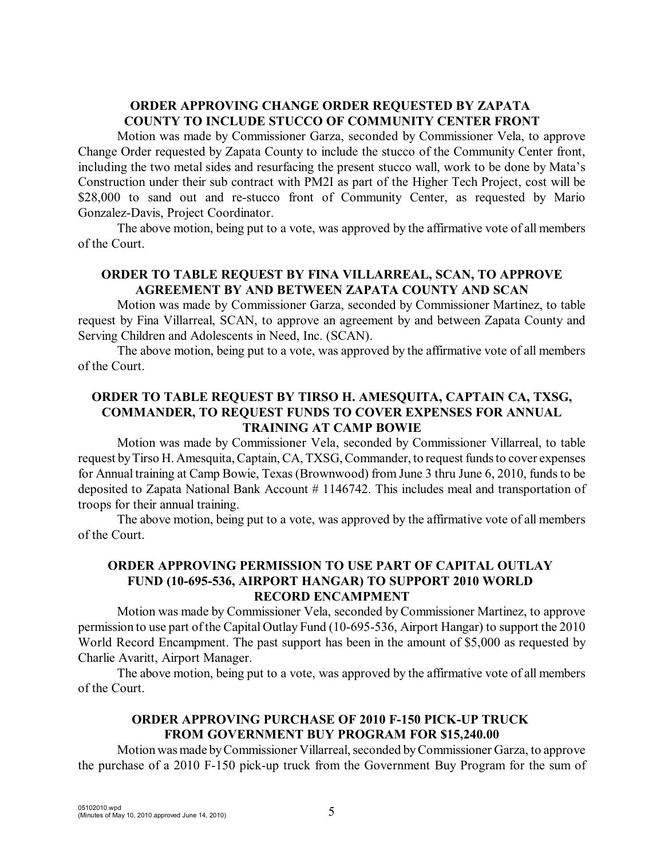# **ORDER APPROVING CHANGE ORDER REQUESTED BY ZAPATA COUNTY TO INCLUDE STUCCO OF COMMUNITY CENTER FRONT**

Motion was made by Commissioner Garza, seconded by Commissioner Vela, to approve Change Order requested by Zapata County to include the stucco of the Community Center front, including the two metal sides and resurfacing the present stucco wall, work to be done by Mata's Construction under their sub contract with PM2I as part of the Higher Tech Project, cost will be \$28,000 to sand out and re-stucco front of Community Center, as requested by Mario Gonzalez-Davis, Project Coordinator.

The above motion, being put to a vote, was approved by the affirmative vote of all members of the Court.

# **ORDER TO TABLE REQUEST BY FINA VILLARREAL, SCAN, TO APPROVE AGREEMENT BY AND BETWEEN ZAPATA COUNTY AND SCAN**

Motion was made by Commissioner Garza, seconded by Commissioner Martinez, to table request by Fina Villarreal, SCAN, to approve an agreement by and between Zapata County and Serving Children and Adolescents in Need, Inc. (SCAN).

The above motion, being put to a vote, was approved by the affirmative vote of all members of the Court.

#### **ORDER TO TABLE REQUEST BY TIRSO H. AMESQUITA, CAPTAIN CA, TXSG, COMMANDER, TO REQUEST FUNDS TO COVER EXPENSES FOR ANNUAL TRAINING AT CAMP BOWIE**

Motion was made by Commissioner Vela, seconded by Commissioner Villarreal, to table request by Tirso H. Amesquita, Captain, CA, TXSG,Commander, to request funds to cover expenses for Annual training at Camp Bowie, Texas (Brownwood) from June 3 thru June 6, 2010, funds to be deposited to Zapata National Bank Account # 1146742. This includes meal and transportation of troops for their annual training.

The above motion, being put to a vote, was approved by the affirmative vote of all members of the Court.

## **ORDER APPROVING PERMISSION TO USE PART OF CAPITAL OUTLAY FUND (10-695-536, AIRPORT HANGAR) TO SUPPORT 2010 WORLD RECORD ENCAMPMENT**

Motion was made by Commissioner Vela, seconded by Commissioner Martinez, to approve permission to use part of the Capital Outlay Fund (10-695-536, Airport Hangar) to support the 2010 World Record Encampment. The past support has been in the amount of \$5,000 as requested by Charlie Avaritt, Airport Manager.

The above motion, being put to a vote, was approved by the affirmative vote of all members of the Court.

## **ORDER APPROVING PURCHASE OF 2010 F-150 PICK-UP TRUCK FROM GOVERNMENT BUY PROGRAM FOR \$15,240.00**

Motion was made by Commissioner Villarreal, seconded byCommissioner Garza, to approve the purchase of a 2010 F-150 pick-up truck from the Government Buy Program for the sum of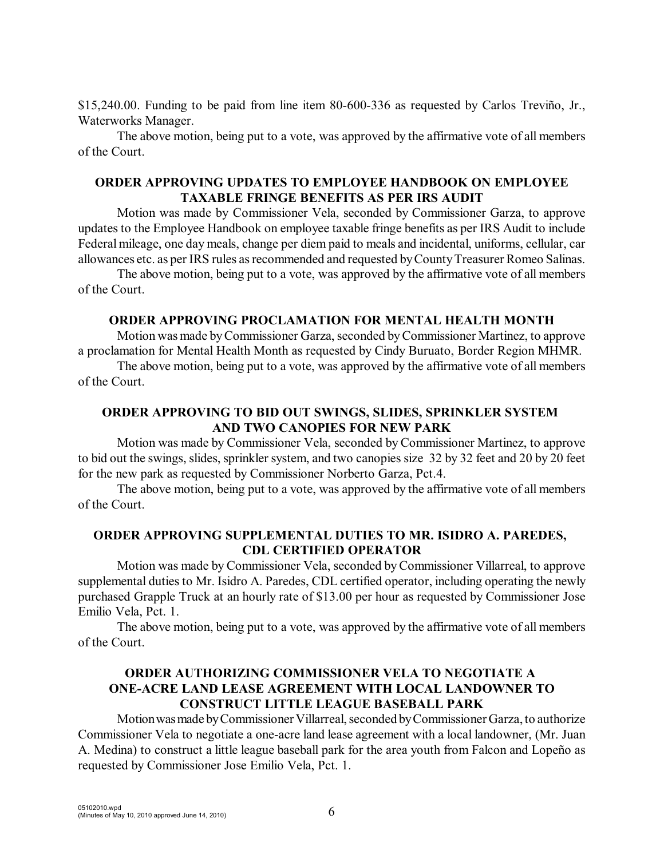\$15,240.00. Funding to be paid from line item 80-600-336 as requested by Carlos Treviño, Jr., Waterworks Manager.

The above motion, being put to a vote, was approved by the affirmative vote of all members of the Court.

### **ORDER APPROVING UPDATES TO EMPLOYEE HANDBOOK ON EMPLOYEE TAXABLE FRINGE BENEFITS AS PER IRS AUDIT**

Motion was made by Commissioner Vela, seconded by Commissioner Garza, to approve updates to the Employee Handbook on employee taxable fringe benefits as per IRS Audit to include Federal mileage, one day meals, change per diem paid to meals and incidental, uniforms, cellular, car allowances etc. as per IRS rules as recommended and requested by County Treasurer Romeo Salinas.

The above motion, being put to a vote, was approved by the affirmative vote of all members of the Court.

#### **ORDER APPROVING PROCLAMATION FOR MENTAL HEALTH MONTH**

Motion wasmade by Commissioner Garza, seconded by Commissioner Martinez, to approve a proclamation for Mental Health Month as requested by Cindy Buruato, Border Region MHMR.

The above motion, being put to a vote, was approved by the affirmative vote of all members of the Court.

## **ORDER APPROVING TO BID OUT SWINGS, SLIDES, SPRINKLER SYSTEM AND TWO CANOPIES FOR NEW PARK**

Motion was made by Commissioner Vela, seconded by Commissioner Martinez, to approve to bid out the swings, slides, sprinkler system, and two canopies size 32 by 32 feet and 20 by 20 feet for the new park as requested by Commissioner Norberto Garza, Pct.4.

The above motion, being put to a vote, was approved by the affirmative vote of all members of the Court.

#### **ORDER APPROVING SUPPLEMENTAL DUTIES TO MR. ISIDRO A. PAREDES, CDL CERTIFIED OPERATOR**

Motion was made by Commissioner Vela, seconded byCommissioner Villarreal, to approve supplemental duties to Mr. Isidro A. Paredes, CDL certified operator, including operating the newly purchased Grapple Truck at an hourly rate of \$13.00 per hour as requested by Commissioner Jose Emilio Vela, Pct. 1.

The above motion, being put to a vote, was approved by the affirmative vote of all members of the Court.

## **ORDER AUTHORIZING COMMISSIONER VELA TO NEGOTIATE A ONE-ACRE LAND LEASE AGREEMENT WITH LOCAL LANDOWNER TO CONSTRUCT LITTLE LEAGUE BASEBALL PARK**

Motion was made by Commissioner Villarreal, seconded by Commissioner Garza, to authorize Commissioner Vela to negotiate a one-acre land lease agreement with a local landowner, (Mr. Juan A. Medina) to construct a little league baseball park for the area youth from Falcon and Lopeño as requested by Commissioner Jose Emilio Vela, Pct. 1.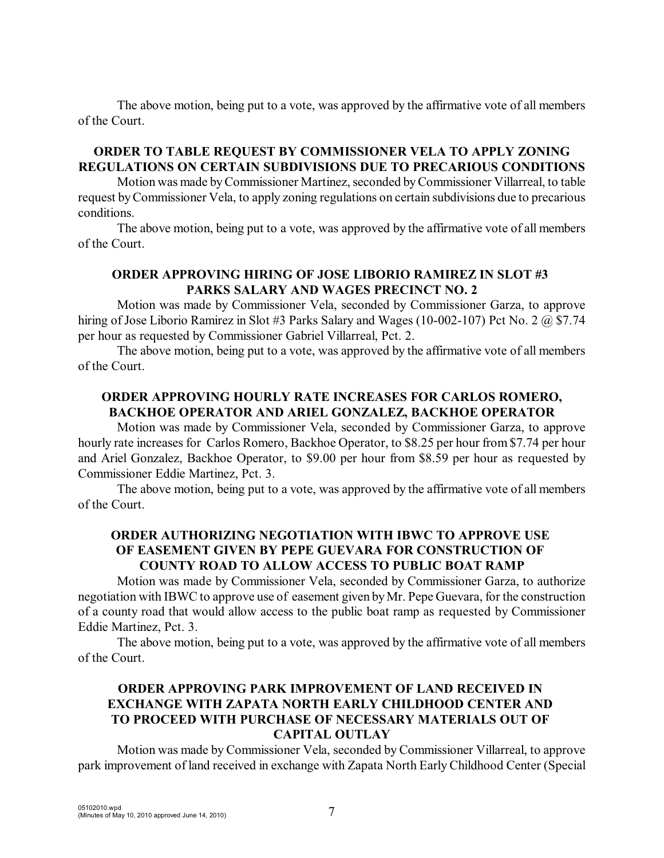The above motion, being put to a vote, was approved by the affirmative vote of all members of the Court.

# **ORDER TO TABLE REQUEST BY COMMISSIONER VELA TO APPLY ZONING REGULATIONS ON CERTAIN SUBDIVISIONS DUE TO PRECARIOUS CONDITIONS**

Motion was made by Commissioner Martinez, seconded by Commissioner Villarreal, to table request by Commissioner Vela, to apply zoning regulations on certain subdivisions due to precarious conditions.

The above motion, being put to a vote, was approved by the affirmative vote of all members of the Court.

# **ORDER APPROVING HIRING OF JOSE LIBORIO RAMIREZ IN SLOT #3 PARKS SALARY AND WAGES PRECINCT NO. 2**

Motion was made by Commissioner Vela, seconded by Commissioner Garza, to approve hiring of Jose Liborio Ramirez in Slot #3 Parks Salary and Wages (10-002-107) Pct No. 2 @ \$7.74 per hour as requested by Commissioner Gabriel Villarreal, Pct. 2.

The above motion, being put to a vote, was approved by the affirmative vote of all members of the Court.

# **ORDER APPROVING HOURLY RATE INCREASES FOR CARLOS ROMERO, BACKHOE OPERATOR AND ARIEL GONZALEZ, BACKHOE OPERATOR**

Motion was made by Commissioner Vela, seconded by Commissioner Garza, to approve hourly rate increases for Carlos Romero, Backhoe Operator, to \$8.25 per hour from \$7.74 per hour and Ariel Gonzalez, Backhoe Operator, to \$9.00 per hour from \$8.59 per hour as requested by Commissioner Eddie Martinez, Pct. 3.

The above motion, being put to a vote, was approved by the affirmative vote of all members of the Court.

## **ORDER AUTHORIZING NEGOTIATION WITH IBWC TO APPROVE USE OF EASEMENT GIVEN BY PEPE GUEVARA FOR CONSTRUCTION OF COUNTY ROAD TO ALLOW ACCESS TO PUBLIC BOAT RAMP**

Motion was made by Commissioner Vela, seconded by Commissioner Garza, to authorize negotiation with IBWC to approve use of easement given byMr. Pepe Guevara, for the construction of a county road that would allow access to the public boat ramp as requested by Commissioner Eddie Martinez, Pct. 3.

The above motion, being put to a vote, was approved by the affirmative vote of all members of the Court.

# **ORDER APPROVING PARK IMPROVEMENT OF LAND RECEIVED IN EXCHANGE WITH ZAPATA NORTH EARLY CHILDHOOD CENTER AND TO PROCEED WITH PURCHASE OF NECESSARY MATERIALS OUT OF CAPITAL OUTLAY**

Motion was made by Commissioner Vela, seconded by Commissioner Villarreal, to approve park improvement of land received in exchange with Zapata North Early Childhood Center (Special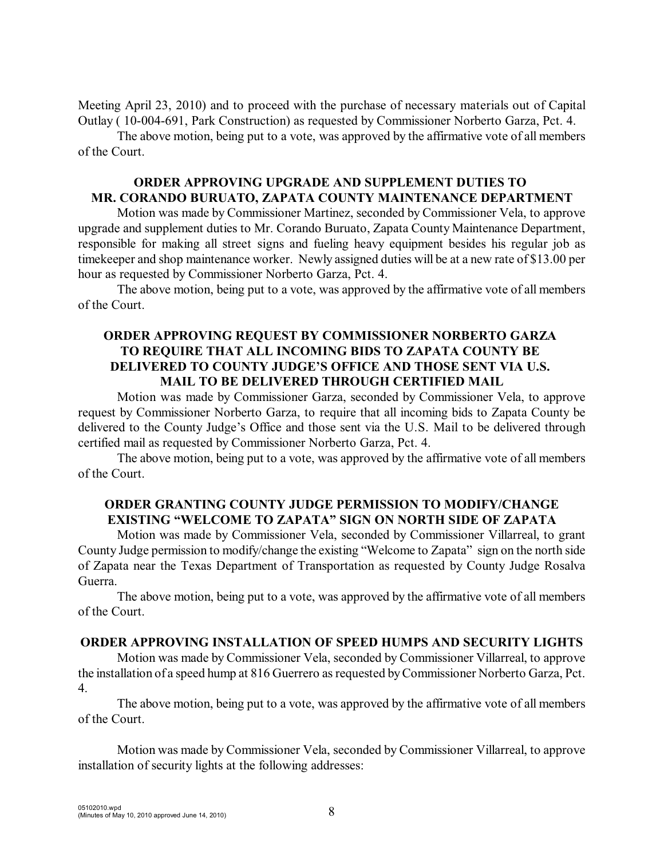Meeting April 23, 2010) and to proceed with the purchase of necessary materials out of Capital Outlay ( 10-004-691, Park Construction) as requested by Commissioner Norberto Garza, Pct. 4.

The above motion, being put to a vote, was approved by the affirmative vote of all members of the Court.

# **ORDER APPROVING UPGRADE AND SUPPLEMENT DUTIES TO MR. CORANDO BURUATO, ZAPATA COUNTY MAINTENANCE DEPARTMENT**

Motion was made by Commissioner Martinez, seconded by Commissioner Vela, to approve upgrade and supplement duties to Mr. Corando Buruato, Zapata County Maintenance Department, responsible for making all street signs and fueling heavy equipment besides his regular job as timekeeper and shop maintenance worker. Newly assigned duties will be at a new rate of \$13.00 per hour as requested by Commissioner Norberto Garza, Pct. 4.

The above motion, being put to a vote, was approved by the affirmative vote of all members of the Court.

## **ORDER APPROVING REQUEST BY COMMISSIONER NORBERTO GARZA TO REQUIRE THAT ALL INCOMING BIDS TO ZAPATA COUNTY BE DELIVERED TO COUNTY JUDGE'S OFFICE AND THOSE SENT VIA U.S. MAIL TO BE DELIVERED THROUGH CERTIFIED MAIL**

Motion was made by Commissioner Garza, seconded by Commissioner Vela, to approve request by Commissioner Norberto Garza, to require that all incoming bids to Zapata County be delivered to the County Judge's Office and those sent via the U.S. Mail to be delivered through certified mail as requested by Commissioner Norberto Garza, Pct. 4.

The above motion, being put to a vote, was approved by the affirmative vote of all members of the Court.

# **ORDER GRANTING COUNTY JUDGE PERMISSION TO MODIFY/CHANGE EXISTING "WELCOME TO ZAPATA" SIGN ON NORTH SIDE OF ZAPATA**

Motion was made by Commissioner Vela, seconded by Commissioner Villarreal, to grant County Judge permission to modify/change the existing "Welcome to Zapata" sign on the north side of Zapata near the Texas Department of Transportation as requested by County Judge Rosalva Guerra.

The above motion, being put to a vote, was approved by the affirmative vote of all members of the Court.

# **ORDER APPROVING INSTALLATION OF SPEED HUMPS AND SECURITY LIGHTS**

Motion was made by Commissioner Vela, seconded by Commissioner Villarreal, to approve the installation of a speed hump at 816 Guerrero as requested by Commissioner Norberto Garza, Pct. 4.

The above motion, being put to a vote, was approved by the affirmative vote of all members of the Court.

Motion was made by Commissioner Vela, seconded by Commissioner Villarreal, to approve installation of security lights at the following addresses: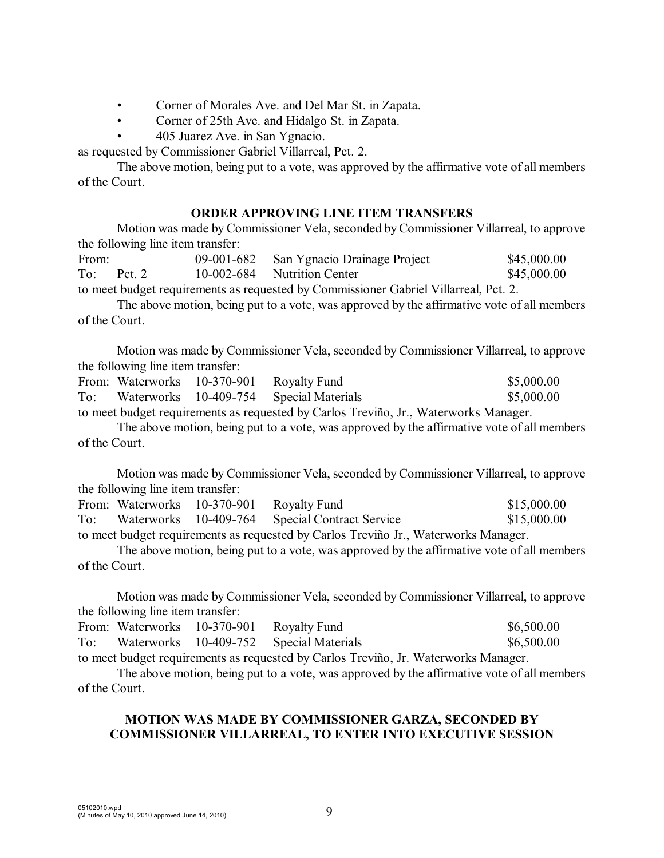- Corner of Morales Ave. and Del Mar St. in Zapata.
- Corner of 25th Ave. and Hidalgo St. in Zapata.
- 405 Juarez Ave. in San Ygnacio.

as requested by Commissioner Gabriel Villarreal, Pct. 2.

The above motion, being put to a vote, was approved by the affirmative vote of all members of the Court.

#### **ORDER APPROVING LINE ITEM TRANSFERS**

Motion was made by Commissioner Vela, seconded byCommissioner Villarreal, to approve the following line item transfer:

| From:                                                                                |        | 09-001-682 | San Ygnacio Drainage Project | \$45,000.00 |
|--------------------------------------------------------------------------------------|--------|------------|------------------------------|-------------|
| To:                                                                                  | Pct. 2 |            | 10-002-684 Nutrition Center  | \$45,000.00 |
| to meet budget requirements as requested by Commissioner Gabriel Villarreal, Pct. 2. |        |            |                              |             |

The above motion, being put to a vote, was approved by the affirmative vote of all members of the Court.

Motion was made by Commissioner Vela, seconded by Commissioner Villarreal, to approve the following line item transfer:

|                                                                                      |  | From: Waterworks 10-370-901 Royalty Fund |                                         | \$5,000.00 |
|--------------------------------------------------------------------------------------|--|------------------------------------------|-----------------------------------------|------------|
| To:                                                                                  |  |                                          | Waterworks 10-409-754 Special Materials | \$5,000.00 |
| to meet budget requirements as requested by Carlos Treviño, Jr., Waterworks Manager. |  |                                          |                                         |            |

The above motion, being put to a vote, was approved by the affirmative vote of all members of the Court.

Motion was made by Commissioner Vela, seconded by Commissioner Villarreal, to approve the following line item transfer:

|                                                                                     |  | From: Waterworks 10-370-901 Royalty Fund |                                                | \$15,000.00 |  |
|-------------------------------------------------------------------------------------|--|------------------------------------------|------------------------------------------------|-------------|--|
| To:                                                                                 |  |                                          | Waterworks 10-409-764 Special Contract Service | \$15,000.00 |  |
| to meet budget requirements as requested by Carlos Treviño Jr., Waterworks Manager. |  |                                          |                                                |             |  |

The above motion, being put to a vote, was approved by the affirmative vote of all members of the Court.

Motion was made byCommissioner Vela, seconded by Commissioner Villarreal, to approve the following line item transfer:

|                                                                                     |  | From: Waterworks 10-370-901 Royalty Fund |                                         | \$6,500.00 |
|-------------------------------------------------------------------------------------|--|------------------------------------------|-----------------------------------------|------------|
| To:                                                                                 |  |                                          | Waterworks 10-409-752 Special Materials | \$6,500.00 |
| to meet budget requirements as requested by Carlos Treviño, Jr. Waterworks Manager. |  |                                          |                                         |            |

The above motion, being put to a vote, was approved by the affirmative vote of all members of the Court.

## **MOTION WAS MADE BY COMMISSIONER GARZA, SECONDED BY COMMISSIONER VILLARREAL, TO ENTER INTO EXECUTIVE SESSION**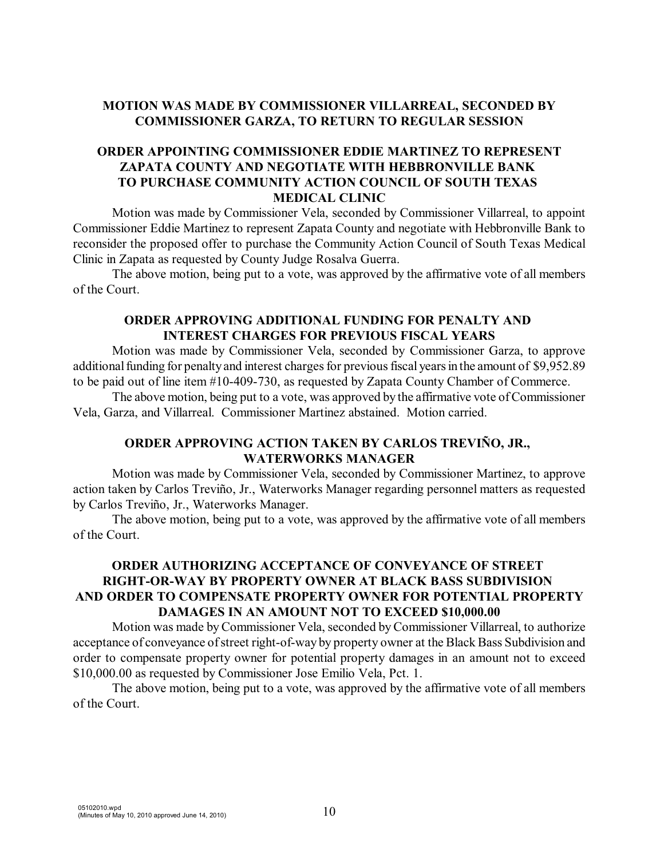# **MOTION WAS MADE BY COMMISSIONER VILLARREAL, SECONDED BY COMMISSIONER GARZA, TO RETURN TO REGULAR SESSION**

# **ORDER APPOINTING COMMISSIONER EDDIE MARTINEZ TO REPRESENT ZAPATA COUNTY AND NEGOTIATE WITH HEBBRONVILLE BANK TO PURCHASE COMMUNITY ACTION COUNCIL OF SOUTH TEXAS MEDICAL CLINIC**

Motion was made by Commissioner Vela, seconded by Commissioner Villarreal, to appoint Commissioner Eddie Martinez to represent Zapata County and negotiate with Hebbronville Bank to reconsider the proposed offer to purchase the Community Action Council of South Texas Medical Clinic in Zapata as requested by County Judge Rosalva Guerra.

The above motion, being put to a vote, was approved by the affirmative vote of all members of the Court.

### **ORDER APPROVING ADDITIONAL FUNDING FOR PENALTY AND INTEREST CHARGES FOR PREVIOUS FISCAL YEARS**

Motion was made by Commissioner Vela, seconded by Commissioner Garza, to approve additional funding for penalty and interest charges for previous fiscal years in the amount of \$9,952.89 to be paid out of line item #10-409-730, as requested by Zapata County Chamber of Commerce.

The above motion, being put to a vote, was approved by the affirmative vote of Commissioner Vela, Garza, and Villarreal. Commissioner Martinez abstained. Motion carried.

# **ORDER APPROVING ACTION TAKEN BY CARLOS TREVIÑO, JR., WATERWORKS MANAGER**

Motion was made by Commissioner Vela, seconded by Commissioner Martinez, to approve action taken by Carlos Treviño, Jr., Waterworks Manager regarding personnel matters as requested by Carlos Treviño, Jr., Waterworks Manager.

The above motion, being put to a vote, was approved by the affirmative vote of all members of the Court.

# **ORDER AUTHORIZING ACCEPTANCE OF CONVEYANCE OF STREET RIGHT-OR-WAY BY PROPERTY OWNER AT BLACK BASS SUBDIVISION AND ORDER TO COMPENSATE PROPERTY OWNER FOR POTENTIAL PROPERTY DAMAGES IN AN AMOUNT NOT TO EXCEED \$10,000.00**

Motion was made byCommissioner Vela, seconded byCommissioner Villarreal, to authorize acceptance of conveyance of street right-of-way by property owner at the Black Bass Subdivision and order to compensate property owner for potential property damages in an amount not to exceed \$10,000.00 as requested by Commissioner Jose Emilio Vela, Pct. 1.